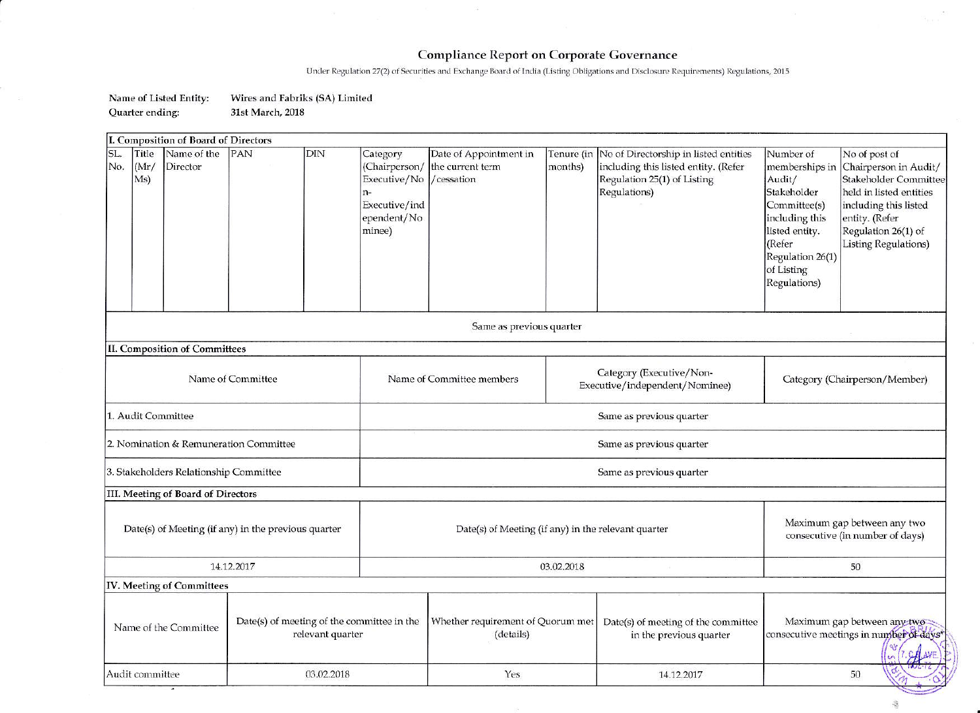## **Compliance Report on Corporate Governance**

Under Regulation 27(2) of Securities and Exchange Board of India (Listing Obligations and Disclosure Requirements) Regulations, 2015

## Name of Listed Entity: Wires and Fabriks (SA) Limited Quarter ending: 31st March, 2018

| I. Composition of Board of Directors                          |                                                                |                                                                                     |                                                                                         |                          |                                                                                                                                         |                                                                                                                                                                      |                                                                                                                                                                                             |  |
|---------------------------------------------------------------|----------------------------------------------------------------|-------------------------------------------------------------------------------------|-----------------------------------------------------------------------------------------|--------------------------|-----------------------------------------------------------------------------------------------------------------------------------------|----------------------------------------------------------------------------------------------------------------------------------------------------------------------|---------------------------------------------------------------------------------------------------------------------------------------------------------------------------------------------|--|
| SL.<br>Title<br>Name of the<br>(Mr)<br>No.<br>Director<br>Ms) | PAN<br>DIN                                                     | Category<br>(Chairperson/<br>Executive/No<br>Executive/ind<br>ependent/No<br>minee) | Date of Appointment in<br>the current term<br>/cessation                                | months)                  | Tenure (in No of Directorship in listed entities<br>including this listed entity. (Refer<br>Regulation 25(1) of Listing<br>Regulations) | Number of<br>memberships in<br>Audit/<br>Stakeholder<br>Committee(s)<br>including this<br>listed entity.<br>(Refer<br>Regulation 26(1)<br>of Listing<br>Regulations) | No of post of<br>Chairperson in Audit/<br>Stakeholder Committee<br>held in listed entities<br>including this listed<br>entity. (Refer<br>Regulation 26(1) of<br><b>Listing Regulations)</b> |  |
| Same as previous quarter                                      |                                                                |                                                                                     |                                                                                         |                          |                                                                                                                                         |                                                                                                                                                                      |                                                                                                                                                                                             |  |
| II. Composition of Committees                                 |                                                                |                                                                                     |                                                                                         |                          |                                                                                                                                         |                                                                                                                                                                      |                                                                                                                                                                                             |  |
| Name of Committee                                             |                                                                |                                                                                     | Category (Executive/Non-<br>Name of Committee members<br>Executive/independent/Nominee) |                          | Category (Chairperson/Member)                                                                                                           |                                                                                                                                                                      |                                                                                                                                                                                             |  |
| 1. Audit Committee                                            |                                                                |                                                                                     |                                                                                         | Same as previous quarter |                                                                                                                                         |                                                                                                                                                                      |                                                                                                                                                                                             |  |
| 2. Nomination & Remuneration Committee                        |                                                                | Same as previous quarter                                                            |                                                                                         |                          |                                                                                                                                         |                                                                                                                                                                      |                                                                                                                                                                                             |  |
| 3. Stakeholders Relationship Committee                        |                                                                |                                                                                     | Same as previous quarter                                                                |                          |                                                                                                                                         |                                                                                                                                                                      |                                                                                                                                                                                             |  |
| III. Meeting of Board of Directors                            |                                                                |                                                                                     |                                                                                         |                          |                                                                                                                                         |                                                                                                                                                                      |                                                                                                                                                                                             |  |
| Date(s) of Meeting (if any) in the previous quarter           |                                                                |                                                                                     | Date(s) of Meeting (if any) in the relevant quarter                                     |                          |                                                                                                                                         | Maximum gap between any two<br>consecutive (in number of days)                                                                                                       |                                                                                                                                                                                             |  |
| 14.12.2017                                                    |                                                                |                                                                                     | 03.02.2018                                                                              |                          |                                                                                                                                         | 50                                                                                                                                                                   |                                                                                                                                                                                             |  |
| IV. Meeting of Committees                                     |                                                                |                                                                                     |                                                                                         |                          |                                                                                                                                         |                                                                                                                                                                      |                                                                                                                                                                                             |  |
| Name of the Committee                                         | Date(s) of meeting of the committee in the<br>relevant quarter |                                                                                     | Whether requirement of Quorum met<br>(details)                                          |                          | Date(s) of meeting of the committee<br>in the previous quarter                                                                          |                                                                                                                                                                      | Maximum gap between any two-<br>consecutive meetings in number of days*                                                                                                                     |  |
| Audit committee                                               | 03.02.2018                                                     |                                                                                     | Yes                                                                                     |                          | 14.12.2017                                                                                                                              |                                                                                                                                                                      | 50                                                                                                                                                                                          |  |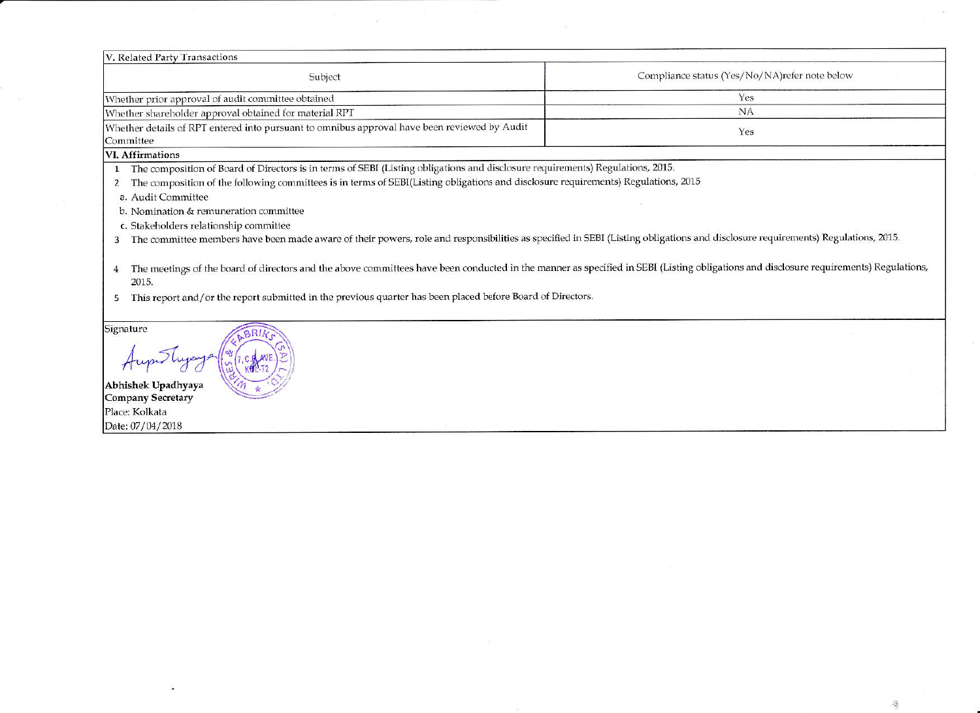| V. Related Party Transactions                                                                                                                                                                                                                                                                                                                                                                                                                                                                                                                                          |                                                |  |  |  |
|------------------------------------------------------------------------------------------------------------------------------------------------------------------------------------------------------------------------------------------------------------------------------------------------------------------------------------------------------------------------------------------------------------------------------------------------------------------------------------------------------------------------------------------------------------------------|------------------------------------------------|--|--|--|
| Subject                                                                                                                                                                                                                                                                                                                                                                                                                                                                                                                                                                | Compliance status (Yes/No/NA) refer note below |  |  |  |
| Whether prior approval of audit committee obtained                                                                                                                                                                                                                                                                                                                                                                                                                                                                                                                     | Yes                                            |  |  |  |
| Whether shareholder approval obtained for material RPT                                                                                                                                                                                                                                                                                                                                                                                                                                                                                                                 | <b>NA</b>                                      |  |  |  |
| Whether details of RPT entered into pursuant to omnibus approval have been reviewed by Audit<br>Committee                                                                                                                                                                                                                                                                                                                                                                                                                                                              | Yes                                            |  |  |  |
| <b>VI.</b> Affirmations                                                                                                                                                                                                                                                                                                                                                                                                                                                                                                                                                |                                                |  |  |  |
| The composition of Board of Directors is in terms of SEBI (Listing obligations and disclosure requirements) Regulations, 2015.<br>The composition of the following committees is in terms of SEBI(Listing obligations and disclosure requirements) Regulations, 2015<br>a. Audit Committee<br>b. Nomination & remuneration committee<br>c. Stakeholders relationship committee<br>The committee members have been made aware of their powers, role and responsibilities as specified in SEBI (Listing obligations and disclosure requirements) Regulations, 2015.<br>3 |                                                |  |  |  |
| The meetings of the board of directors and the above committees have been conducted in the manner as specified in SEBI (Listing obligations and disclosure requirements) Regulations,<br>4<br>2015.<br>This report and/or the report submitted in the previous quarter has been placed before Board of Directors.                                                                                                                                                                                                                                                      |                                                |  |  |  |

 $\alpha$ 

 $\hat{Q}$ 

Signature

BRIK Aupwoluge

Abhishek Upadhyaya<br>Company Secretary Place: Kolkata Date: 07/04/2018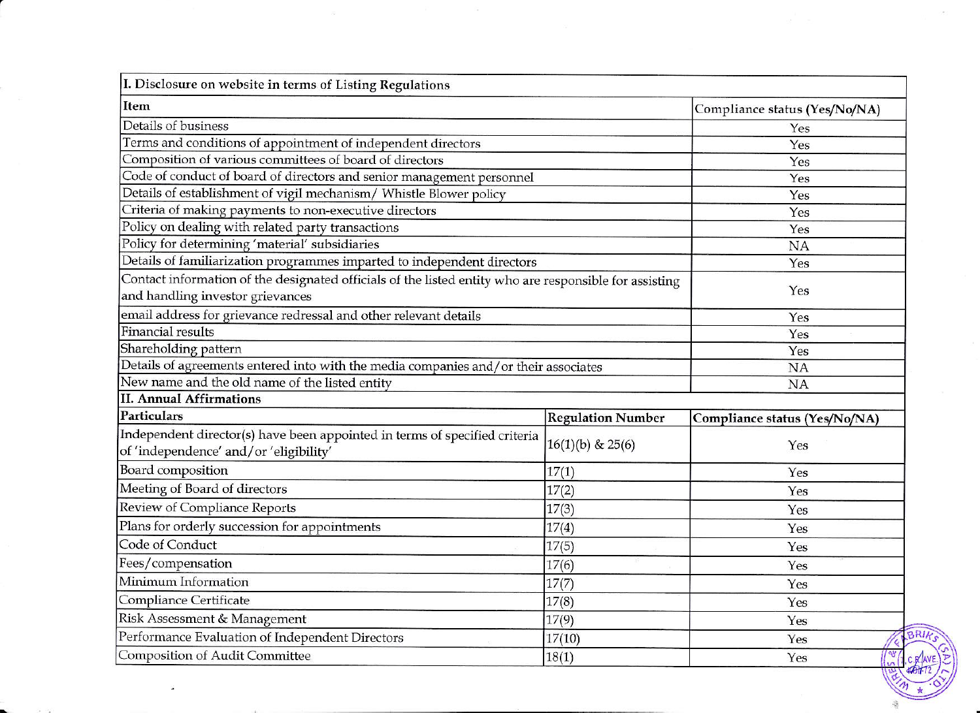| I. Disclosure on website in terms of Listing Regulations                                                                                   |                               |                               |  |
|--------------------------------------------------------------------------------------------------------------------------------------------|-------------------------------|-------------------------------|--|
| Item                                                                                                                                       | Compliance status (Yes/No/NA) |                               |  |
| Details of business                                                                                                                        | Yes                           |                               |  |
| Terms and conditions of appointment of independent directors                                                                               | Yes                           |                               |  |
| Composition of various committees of board of directors                                                                                    | Yes                           |                               |  |
| Code of conduct of board of directors and senior management personnel                                                                      | Yes                           |                               |  |
| Details of establishment of vigil mechanism/ Whistle Blower policy                                                                         | Yes                           |                               |  |
| Criteria of making payments to non-executive directors                                                                                     |                               | Yes                           |  |
| Policy on dealing with related party transactions                                                                                          |                               | Yes                           |  |
| Policy for determining 'material' subsidiaries                                                                                             | <b>NA</b>                     |                               |  |
| Details of familiarization programmes imparted to independent directors                                                                    |                               | Yes                           |  |
| Contact information of the designated officials of the listed entity who are responsible for assisting<br>and handling investor grievances | Yes                           |                               |  |
| email address for grievance redressal and other relevant details                                                                           | Yes                           |                               |  |
| <b>Financial results</b>                                                                                                                   | Yes                           |                               |  |
| Shareholding pattern                                                                                                                       | Yes                           |                               |  |
| Details of agreements entered into with the media companies and/or their associates                                                        | <b>NA</b>                     |                               |  |
| New name and the old name of the listed entity                                                                                             | NA                            |                               |  |
| <b>II. Annual Affirmations</b>                                                                                                             |                               |                               |  |
| Particulars                                                                                                                                | <b>Regulation Number</b>      | Compliance status (Yes/No/NA) |  |
| Independent director(s) have been appointed in terms of specified criteria<br>of 'independence' and/or 'eligibility'                       | $16(1)(b)$ & $25(6)$          | Yes                           |  |
| Board composition                                                                                                                          | 17(1)                         | Yes                           |  |
| Meeting of Board of directors                                                                                                              | 17(2)                         | Yes                           |  |
| Review of Compliance Reports                                                                                                               | 17(3)                         | Yes                           |  |
| Plans for orderly succession for appointments                                                                                              | 17(4)                         | Yes                           |  |
| Code of Conduct                                                                                                                            | 17(5)                         | Yes                           |  |
| Fees/compensation                                                                                                                          | 17(6)                         | Yes                           |  |
| Minimum Information                                                                                                                        | 17(7)                         | Yes                           |  |
| Compliance Certificate                                                                                                                     | 17(8)                         | Yes                           |  |
| Risk Assessment & Management                                                                                                               | 17(9)                         | Yes                           |  |
| Performance Evaluation of Independent Directors                                                                                            | 17(10)                        | Yes                           |  |
| Composition of Audit Committee<br>18(1)                                                                                                    |                               | $\frac{1}{8}$<br>Yes          |  |